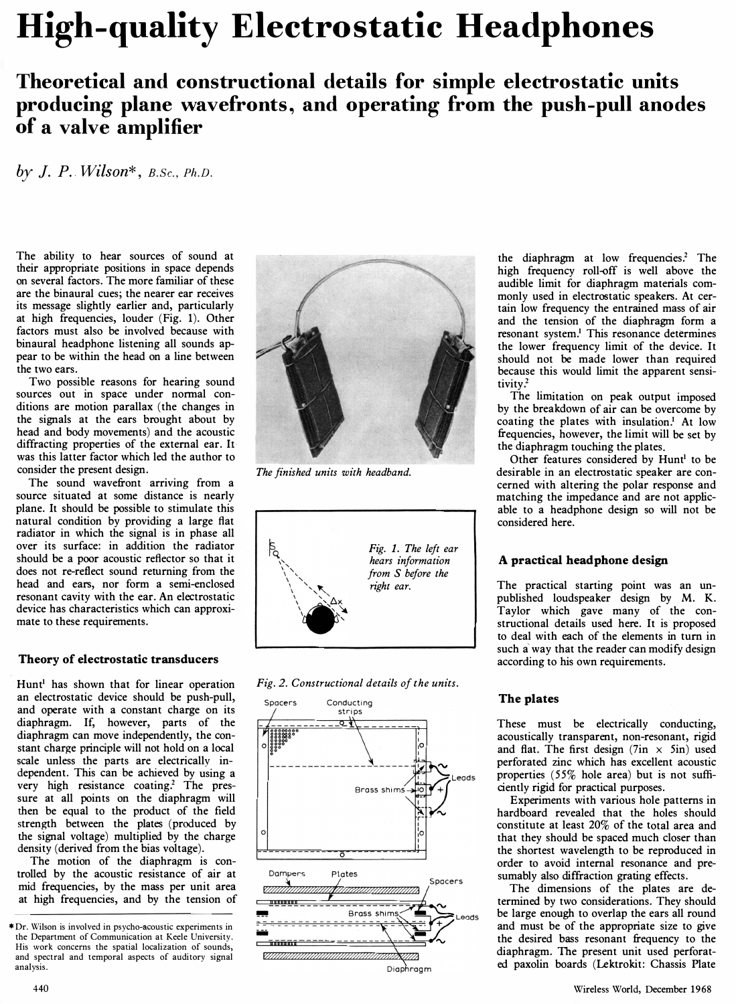# High-quality Electrostatic Headphones

## Theoretical and constructional details for simple electrostatic units producing plane wavefronts., and operating from the push-pull anodes of a valve amplifier

by J. P. Wilson\*,  $B.$  Sc.,  $Ph.D.$ 

The ability to hear sources of sound at their appropriate positions in space depends on several factors. The more familiar of these are the binaural cues; the nearer ear receives its message slightly earlier and, particularly at high frequencies, louder (Fig. 1). Other factors must also be involved because with binaural headphone listening all sounds appear to be within the head on a line between the two ears.

Two possible reasons for hearing sound sources out in space under normal conditions are motion parallax (the changes in the signals at the ears brought about by head and body movements) and the acoustic diffracting properties of the external ear. It· was this latter factor which led the author to consider the present design.

The sound wavefront arriving from a source situated at some distance is nearly plane. It should be possible to stimulate this natural condition by providing a large flat radiator in which the signal is in phase all over its surface: in addition the radiator should be a poor acoustic reflector so that it does not re-reflect sound returning from the head and ears, nor form a semi-enclosed resonant cavity with the ear. An electrostatic device has characteristics which can approximate to these requirements.

#### Theory of electrostatic transducers

Hunt<sup>1</sup> has shown that for linear operation an electrostatic device should be push-pull, and operate with a constant charge on its diaphragm. If, however, parts of the diaphragm can move independently, the constant charge principle will not hold on a local scale unless the parts are electrically independent. This can be achieved by using a very high resistance coating? The pressure at all points on the diaphragm will then be equal to the product of the field strength between the plates (produced by the signal voltage) multiplied by the charge density (derived from the bias voltage).

The motion of the diaphragm is controlled by the acoustic resistance of air at mid frequencies, by the mass per unit area at high frequencies, and by the tension of



The finished units with headband.







the diaphragm at low frequencies? The high frequency roll-off is well above the audible limit for diaphragm materials commonly used in electrostatic speakers. At certain low frequency the entrained mass of air and the tension of the diaphragm form a resonant system.<sup>1</sup> This resonance determines the lower frequency limit of the device. It should not be made lower than required because this would limit the apparent sensitivity?

The limitation on peak output imposed by the breakdown of air can be overcome by coating the plates with insulation.! At low frequencies, however, the limit will be set by the diaphragm touching the plates.

Other features considered by Hunt<sup>1</sup> to be desirable in an electrostatic speaker are concerned with altering the polar response and matching the impedance and are not applicable to a headphone design so will not be considered here.

#### A practical head phone design

The practical starting point was an unpublished loudspeaker design by M. K. Taylor which gave many of the constructional details used here. It is proposed to deal with each of the elements in turn in such a way that the reader can modify design according to his own requirements.

#### The plates

These must be electrically conducting, acoustically transparent, non-resonant, rigid and flat. The first design  $(7in \times 5in)$  used perforated zinc which has excellent acoustic properties (55% hole area) but is not sufficiently rigid for practical purposes.

Experiments with various hole patterns in hardboard revealed that the holes should constitute at least 20% of the total area and that they should be spaced much closer than the shortest wavelength to be reproduced in order to avoid internal resonance and presumably also diffraction grating effects.

The dimensions of the plates are determined by two considerations. They should be large enough to overlap the ears all round and must be of the appropriate size to give the desired bass resonant frequency to the diaphragm. The present unit used perforated paxolin boards (Lektrokit: Chassis Plate

<sup>\*</sup> Dr. Wilson is involved in psycho-acoustic experiments in the Department of Communication at Keele University. His work concerns the spatial localization of sounds, and spectral and temporal aspects of auditory signal analysis.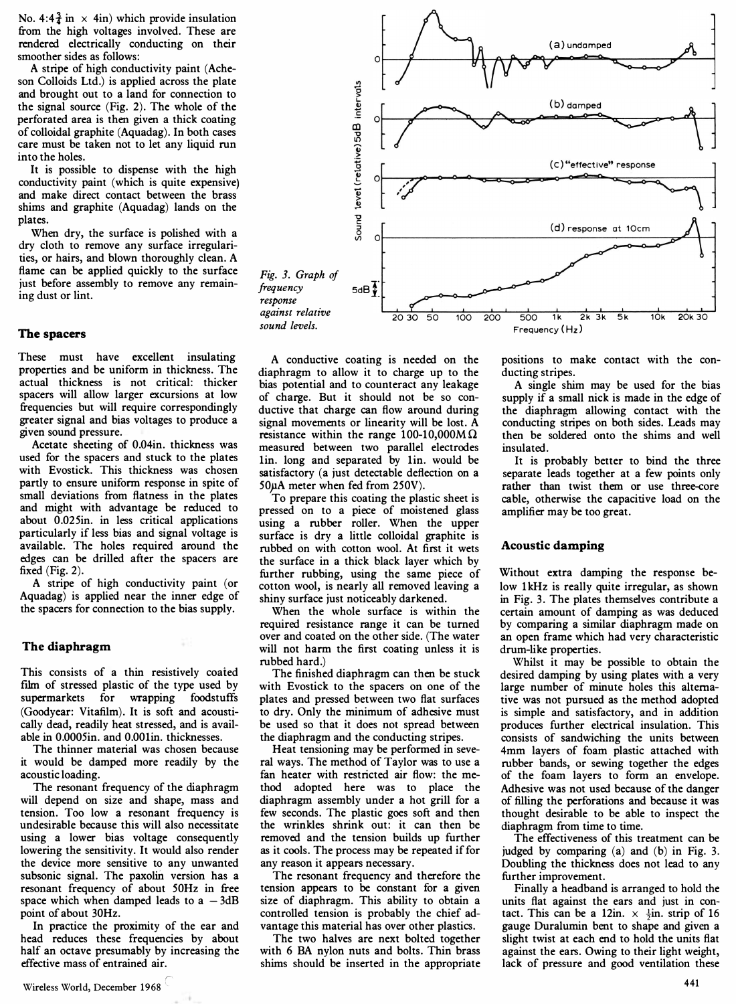No. 4:4 $\frac{3}{4}$  in  $\times$  4in) which provide insulation from the high voltages involved. These are rendered electrically conducting on their smoother sides as follows:

A stripe of high conductivity paint (Acheson Colloids Ltd.) is applied across the plate and brought out to a land for connection to the signal source (Fig. 2). The whole of the perforated area is then given a thick coating of colloidal graphite (Aquadag). In both cases care must be taken not to let any liquid run into the holes.

It is possible to dispense with the high conductivity paint (which is quite expensive) and make direct contact between the brass shims and graphite (Aquadag) lands on the plates.

When dry, the surface is polished with a dry cloth to remove any surface irregularities, or hairs, and blown thoroughly clean. A flame can be applied quickly to the surface just before assembly to remove any remaining dust or lint.

#### The spacers

These must have excellent insulating properties and be uniform in thickness. The actual thickness is not critical: thicker spacers will allow larger excursions at low frequencies but will require correspondingly greater signal and bias volt ages to produce a given sound pressure.

Acetate sheeting of O.04in. thickness was used for the spacers and stuck to the plates with Evostick. This thickness was chosen partly to ensure uniform response in spite of small deviations from flatness in the plates and might with advantage be reduced to about O.025in. in less critical applications particularly if less bias and signal voltage is available. The holes required around the edges can be drilled after the spacers are fixed (Fig. 2).

A stripe of high conductivity paint (or Aquadag) is applied near the inner edge of the spacers for connection to the bias supply.

#### The diaphragm

This consists of a thin resistively coated film of stressed plastic of the type used by supermarkets for wrapping foodstuffs (Goodyear: Vitafilm). It is soft and acoustically dead, readily heat stressed, and is available in O.0005in. and O.OOlin. thicknesses.

The thinner material was chosen because it would be damped more readily by the acoustic loading.

The resonant frequency of the diaphragm will depend on size and shape, mass and tension. Too low a resonant frequency is undesirable because this will also necessitate using a lower bias voltage consequently lowering the sensitivity. It would also render the device more sensitive to any unwanted subsonic signal. The paxolin version has a resonant frequency of about 50Hz in free space which when damped leads to  $a - 3dB$ point of about 30Hz.

In practice the proximity of the ear and head reduces these frequencies by about half an octave presumably by increasing the effective mass of entrained air.



A conductive coating is needed on the diaphragm to allow it to charge up to the bias potential and to counteract any leakage of charge. But it should not be so conductive that charge can flow around during signal movements or linearity will be lost. A resistance within the range 100-10,000M $\Omega$ measured between two parallel electrodes lin. long and separated by lin. would be satisfactory (a just detectable deflection on a 50pA meter when fed from 250V).

To prepare this coating the plastic sheet is pressed on to a piece of moistened glass using a rubber roller. When the upper surface is dry a little colloidal graphite is rubbed on with cotton wool. At first it wets the surface in a thick black layer which by further rubbing, using the same piece of cotton wool, is nearly all removed leaving a shiny surface just noticeably darkened.

When the whole surface is within the required resistance range it can be turned over and coated on the other side. (The water will not harm the first coating unless it is rubbed hard.)

The finished diaphragm can then be stuck with Evostick to the spacers on one of the plates and pressed between two flat surfaces to dry. Only the minimum of adhesive must be used so that it does not spread between the diaphragm and the conducting stripes.

Heat tensioning may be performed in several ways. The method of Taylor was to use a fan heater with restricted air flow: the method adopted here was to place the diaphragm assembly under a hot grill for a few seconds. The plastic goes soft and then the wrinkles shrink out: it can then be removed and the tension builds up further as it cools. The process may be repeated if for any reason it appears necessary.

The resonant frequency and therefore the tension appears to be constant for a given size of diaphragm. This ability to obtain a controlled tension is probably the chief advantage this material has over other plastics.

The two halves are next bolted together with 6 BA nylon nuts and bolts. Thin brass shims should be inserted in the appropriate

positions to make contact with the conducting stripes.

A single shim may be used for the bias supply if a small nick is made in the edge of the diaphragm allowing contact with the conducting stripes on both sides. Leads may then be soldered onto the shims and well insulated.

It is probably better to bind the three separate leads together at a few points only rather than twist them or use three-core cable, otherwise the capacitive load on the amplifier may be too great.

#### Acoustic damping

Without extra damping the response below 1kHz is really quite irregular, as shown in Fig. 3. The plates themselves contribute a certain amount of damping as was deduced by comparing a similar diaphragm made on an open frame which had very characteristic drum-like properties.

Whilst it may be possible to obtain the desired damping by using plates with a very large number of minute holes this alternative was not pursued as the method adopted is simple and satisfactory, and in addition produces further electrical insulation. This consists of sandwiching the units between 4mm layers of foam plastic attached with rubber bands, or sewing together the edges of the foam layers to form an envelope. Adhesive was not used because of the danger of filling the perforations and because it was thought desirable to be able to inspect the diaphragm from time to time.

The effectiveness of this treatment can be judged by comparing (a) and (b) in Fig. 3. Doubling the thickness does not lead to any further improvement.

Finally a headband is arranged to hold the units flat against the ears and just in contact. This can be a 12in.  $\times \frac{1}{2}$ in. strip of 16 gauge Duralumin bent to shape and given a slight twist at each end to hold the units flat against the ears. Owing to their light weight, lack of pressure and good ventilation these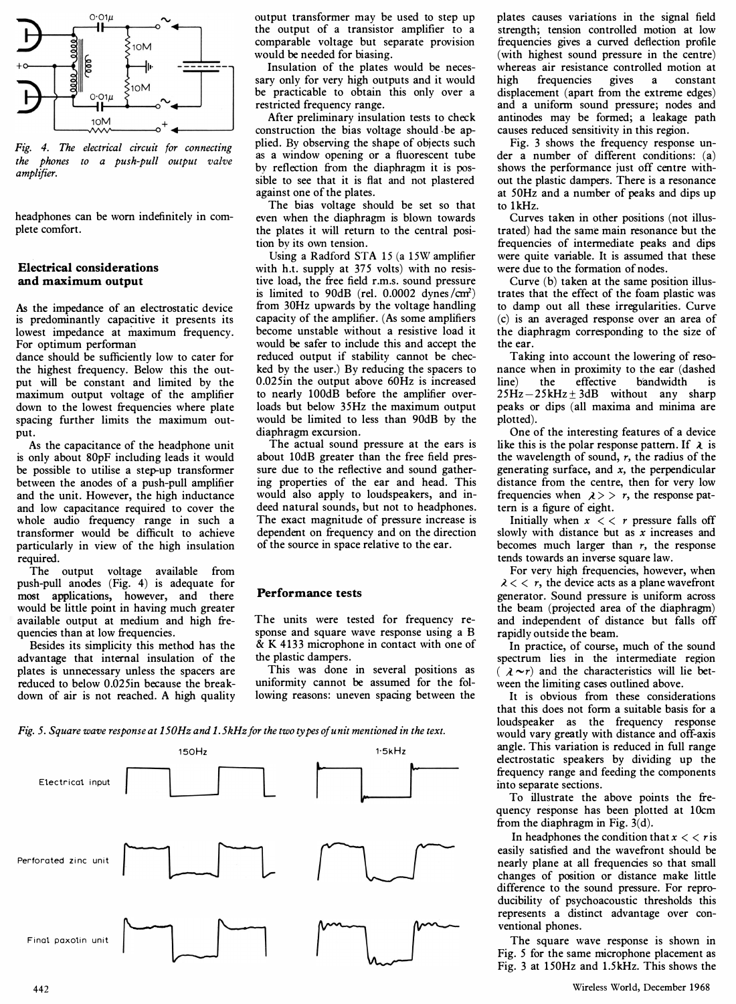

Fig. 4. The electrical circuit for connecting the phones to a push-pull output valve amplifier.

headphones can be worn indefinitely in complete comfort.

#### Electrical considerations and maximum output

As the impedance of an electrostatic device is predominantly capacitive it presents its lowest impedance at maximum frequency.

dance should be sufficiently low to cater for the highest frequency. Below this the output will be constant and limited by the maximum output voltage of the amplifier down to the lowest frequencies where plate spacing further limits the maximum output.

As the capacitance of the headphone unit is only about 80pF including leads it would be possible to utilise a step-up transformer between the anodes of a push-pull amplifier and the unit. However, the high inductance and low capacitance required to cover the whole audio frequency range in such a transformer would be difficult to achieve particularly in view of the high insulation required.

The output voltage available from push-pull anodes (Fig. 4) is adequate for most applications, however, and there would be little point in having much greater available output at medium and high frequencies than at low frequencies.

Besides its simplicity this method has the advantage that internal insulation of the plates is unnecessary unless the spacers are reduced to below 0.025in because the breakdown of air is not reached. A high quality

output transformer may be used to step up the output of a transistor amplifier to a comparable voltage but separate provision would be needed for biasing.

Insulation of the plates would be necessary only for very high outputs and it would be practicable to obtain this only over a restricted frequency range.

After preliminary insulation tests to check construction the bias voltage should .be applied. By observing the shape of objects such as a window opening or a fluorescent tube by reflection from the diaphragm it is possible to see that it is flat and not plastered against one of the plates.

The bias voltage should be set so that even when the diaphragm is blown towards the plates it will return to the central position by its own tension.

For optimum performan' would be safer to include this and accept the the ear. Using a Radford STA 15 (a 15W amplifier with h.t. supply at 375 volts) with no resistive load, the free field r.m.s. sound pressure is limited to 90dB (rel.  $0.0002$  dynes/ $\text{cm}^2$ ) from 30Hz upwards by the voltage handling capacity of the amplifier. (As some amplifiers become unstable without a resistive load it reduced output if stability cannot be checked by the user.) By reducing the spacers to 0.025in the output above 60Hz is increased to nearly 100dB before the amplifier overloads but below 35Hz the maximum output would be limited to less than 90dB by the diaphragm excursion.

The actual sound pressure at the ears is about 10dB greater than the free field pressure due to the reflective and sound gathering properties of the ear and head. This would also apply to loudspeakers, and indeed natural sounds, but not to headphones. The exact magnitude of pressure increase is dependent on frequency and on the direction of the source in space relative to the ear.

#### Performance tests

The units were tested for frequency response and square wave response using a B & K 4133 microphone in contact with one of the plastic dampers.

This was done in several positions as uniformity cannot be assumed for the following reasons: uneven spacing between the

Fig. 5. Square wave response at  $150Hz$  and  $1.5kHz$  for the two types of unit mentioned in the text.



plates causes variations in the signal field strength; tension controlled motion at low frequencies gives a curved deflection profile (with highest sound pressure in the centre) whereas air resistance controlled motion at high frequencies gives a constant displacement (apart from the extreme edges) and a uniform sound pressure; nodes and antinodes may be formed; a leakage path causes reduced sensitivity in this region.

Fig. 3 shows the frequency response under a number of different conditions: (a) shows the performance just off centre without the plastic dampers. There is a resonance at 50Hz and a number of peaks and dips up to 1kHz.

Curves taken in other positions (not illustrated) had the same main resonance but the frequencies of intermediate peaks and dips were quite variable. It is assumed that these were due to the formation of nodes.

Curve (b) taken at the same position illustrates that the effect of the foam plastic was to damp out all these irregularities. Curve (c) is an averaged response over an area of the diaphragm corresponding to the size of the ear.

Taking into account the lowering of resonance when in proximity to the ear (dashed line) the effective b'andwidth is  $25Hz - 25kHz + 3dB$  without any sharp peaks or dips (all maxima and minima are plotted).

One of the interesting features of a device like this is the polar response pattern. If  $\lambda$  is the wavelength of sound,  $r$ , the radius of the generating surface, and  $x$ , the perpendicular distance from the centre, then for very low frequencies when  $\lambda$  > > r, the response pattern is a figure of eight.

Initially when  $x < r$  pressure falls off slowly with distance but as  $x$  increases and becomes much larger than  $r$ , the response tends towards an inverse square law.

For very high frequencies, however, when  $\lambda < \zeta$ , the device acts as a plane wavefront generator. Sound pressure is uniform across the beam (projected area of the diaphragm) and independent of distance but falls off rapidly outside the beam.

In practice, of course, much of the sound spectrum lies in the intermediate region  $(\lambda \sim r)$  and the characteristics will lie between the limiting cases outlined above.

It is obvious from these considerations that this does not form a suitable basis for a loudspeaker as the frequency response would vary greatly with distance and off-axis angle. This variation is reduced in full range electrostatic speakers by dividing up the frequency range and feeding the components into separate sections.

To illustrate the above points the frequency response has been plotted at IOcm from the diaphragm in Fig. 3(d).

In headphones the condition that  $x < r$  is easily satisfied and the wavefront should be nearly plane at all frequencies so that small changes of position or distance make little difference to the sound pressure. For reproducibility of psychoacoustic thresholds this represents a distinct advantage over conventional phones.

The square wave response is shown in Fig. 5 for the same microphone placement as Fig. 3 at 150Hz and 1.5kHz. This shows the